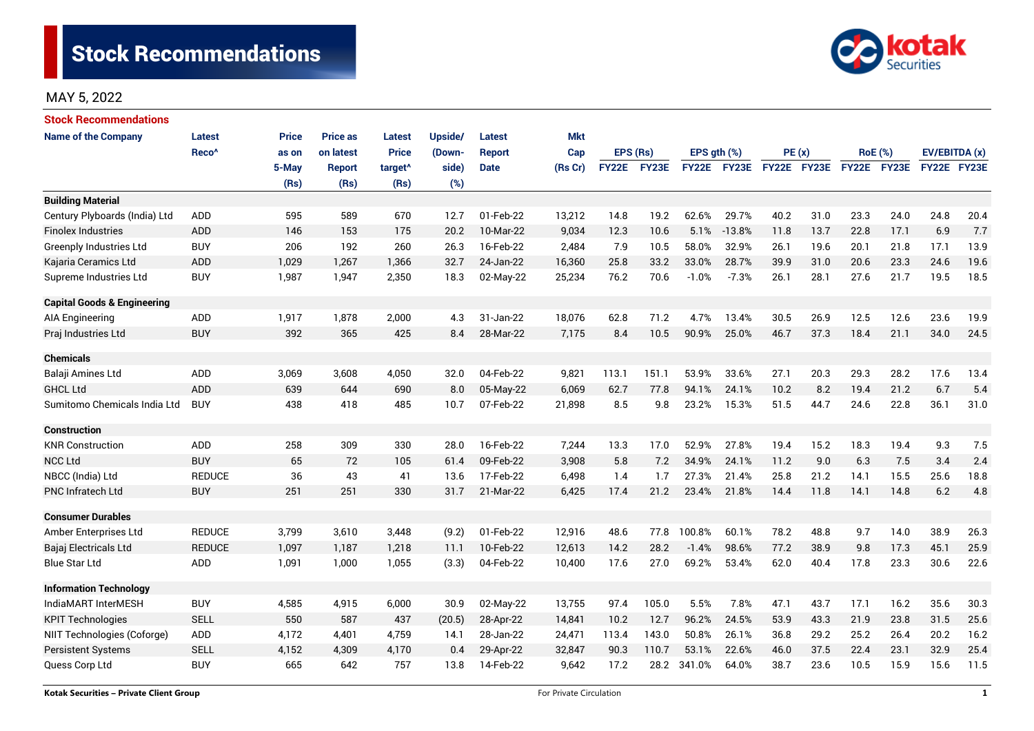

# MAY 5, 2022

| <b>Stock Recommendations</b>           |                   |              |                 |                     |         |               |            |              |       |                  |             |             |      |                |      |               |      |
|----------------------------------------|-------------------|--------------|-----------------|---------------------|---------|---------------|------------|--------------|-------|------------------|-------------|-------------|------|----------------|------|---------------|------|
| <b>Name of the Company</b>             | <b>Latest</b>     | <b>Price</b> | <b>Price as</b> | <b>Latest</b>       | Upside/ | <b>Latest</b> | <b>Mkt</b> |              |       |                  |             |             |      |                |      |               |      |
|                                        | Reco <sup>^</sup> | as on        | on latest       | <b>Price</b>        | (Down-  | <b>Report</b> | Cap        | EPS (Rs)     |       | EPS $qth$ $(\%)$ |             | PE(x)       |      | <b>RoE</b> (%) |      | EV/EBITDA (x) |      |
|                                        |                   | 5-May        | <b>Report</b>   | target <sup>^</sup> | side)   | <b>Date</b>   | (Rs Cr)    | <b>FY22E</b> | FY23E |                  | FY22E FY23E | FY22E FY23E |      | FY22E FY23E    |      | FY22E FY23E   |      |
|                                        |                   | (Rs)         | (Rs)            | (Rs)                | (%)     |               |            |              |       |                  |             |             |      |                |      |               |      |
| <b>Building Material</b>               |                   |              |                 |                     |         |               |            |              |       |                  |             |             |      |                |      |               |      |
| Century Plyboards (India) Ltd          | <b>ADD</b>        | 595          | 589             | 670                 | 12.7    | 01-Feb-22     | 13,212     | 14.8         | 19.2  | 62.6%            | 29.7%       | 40.2        | 31.0 | 23.3           | 24.0 | 24.8          | 20.4 |
| <b>Finolex Industries</b>              | <b>ADD</b>        | 146          | 153             | 175                 | 20.2    | 10-Mar-22     | 9,034      | 12.3         | 10.6  | 5.1%             | $-13.8%$    | 11.8        | 13.7 | 22.8           | 17.1 | 6.9           | 7.7  |
| <b>Greenply Industries Ltd</b>         | <b>BUY</b>        | 206          | 192             | 260                 | 26.3    | 16-Feb-22     | 2,484      | 7.9          | 10.5  | 58.0%            | 32.9%       | 26.1        | 19.6 | 20.1           | 21.8 | 17.1          | 13.9 |
| Kajaria Ceramics Ltd                   | <b>ADD</b>        | 1,029        | 1,267           | 1,366               | 32.7    | 24-Jan-22     | 16,360     | 25.8         | 33.2  | 33.0%            | 28.7%       | 39.9        | 31.0 | 20.6           | 23.3 | 24.6          | 19.6 |
| Supreme Industries Ltd                 | <b>BUY</b>        | 1,987        | 1,947           | 2,350               | 18.3    | 02-May-22     | 25,234     | 76.2         | 70.6  | $-1.0%$          | $-7.3%$     | 26.1        | 28.1 | 27.6           | 21.7 | 19.5<br>18.5  |      |
| <b>Capital Goods &amp; Engineering</b> |                   |              |                 |                     |         |               |            |              |       |                  |             |             |      |                |      |               |      |
| <b>AIA Engineering</b>                 | ADD               | 1,917        | 1,878           | 2,000               | 4.3     | 31-Jan-22     | 18,076     | 62.8         | 71.2  | 4.7%             | 13.4%       | 30.5        | 26.9 | 12.5           | 12.6 | 23.6          | 19.9 |
| Praj Industries Ltd                    | <b>BUY</b>        | 392          | 365             | 425                 | 8.4     | 28-Mar-22     | 7,175      | 8.4          | 10.5  | 90.9%            | 25.0%       | 46.7        | 37.3 | 18.4           | 21.1 | 34.0          | 24.5 |
| <b>Chemicals</b>                       |                   |              |                 |                     |         |               |            |              |       |                  |             |             |      |                |      |               |      |
| Balaji Amines Ltd                      | <b>ADD</b>        | 3,069        | 3,608           | 4,050               | 32.0    | 04-Feb-22     | 9,821      | 113.1        | 151.1 | 53.9%            | 33.6%       | 27.1        | 20.3 | 29.3           | 28.2 | 17.6          | 13.4 |
| <b>GHCL Ltd</b>                        | <b>ADD</b>        | 639          | 644             | 690                 | 8.0     | 05-May-22     | 6,069      | 62.7         | 77.8  | 94.1%            | 24.1%       | 10.2        | 8.2  | 19.4           | 21.2 | 6.7           | 5.4  |
| Sumitomo Chemicals India Ltd           | <b>BUY</b>        | 438          | 418             | 485                 | 10.7    | 07-Feb-22     | 21,898     | 8.5          | 9.8   | 23.2%            | 15.3%       | 51.5        | 44.7 | 24.6           | 22.8 | 36.1          | 31.0 |
| <b>Construction</b>                    |                   |              |                 |                     |         |               |            |              |       |                  |             |             |      |                |      |               |      |
| <b>KNR Construction</b>                | <b>ADD</b>        | 258          | 309             | 330                 | 28.0    | 16-Feb-22     | 7,244      | 13.3         | 17.0  | 52.9%            | 27.8%       | 19.4        | 15.2 | 18.3           | 19.4 | 9.3           | 7.5  |
| <b>NCC Ltd</b>                         | <b>BUY</b>        | 65           | 72              | 105                 | 61.4    | 09-Feb-22     | 3,908      | 5.8          | 7.2   | 34.9%            | 24.1%       | 11.2        | 9.0  | 6.3            | 7.5  | 3.4           | 2.4  |
| NBCC (India) Ltd                       | <b>REDUCE</b>     | 36           | 43              | 41                  | 13.6    | 17-Feb-22     | 6,498      | 1.4          | 1.7   | 27.3%            | 21.4%       | 25.8        | 21.2 | 14.1           | 15.5 | 25.6          | 18.8 |
| <b>PNC Infratech Ltd</b>               | <b>BUY</b>        | 251          | 251             | 330                 | 31.7    | 21-Mar-22     | 6,425      | 17.4         | 21.2  | 23.4%            | 21.8%       | 14.4        | 11.8 | 14.1           | 14.8 | 6.2           | 4.8  |
| <b>Consumer Durables</b>               |                   |              |                 |                     |         |               |            |              |       |                  |             |             |      |                |      |               |      |
| Amber Enterprises Ltd                  | <b>REDUCE</b>     | 3,799        | 3,610           | 3,448               | (9.2)   | 01-Feb-22     | 12,916     | 48.6         | 77.8  | 100.8%           | 60.1%       | 78.2        | 48.8 | 9.7            | 14.0 | 38.9          | 26.3 |
| Bajaj Electricals Ltd                  | <b>REDUCE</b>     | 1,097        | 1,187           | 1,218               | 11.1    | 10-Feb-22     | 12,613     | 14.2         | 28.2  | $-1.4%$          | 98.6%       | 77.2        | 38.9 | 9.8            | 17.3 | 45.1          | 25.9 |
| <b>Blue Star Ltd</b>                   | ADD               | 1,091        | 1,000           | 1,055               | (3.3)   | 04-Feb-22     | 10,400     | 17.6         | 27.0  | 69.2%            | 53.4%       | 62.0        | 40.4 | 17.8           | 23.3 | 30.6          | 22.6 |
| <b>Information Technology</b>          |                   |              |                 |                     |         |               |            |              |       |                  |             |             |      |                |      |               |      |
| IndiaMART InterMESH                    | <b>BUY</b>        | 4,585        | 4,915           | 6,000               | 30.9    | 02-May-22     | 13,755     | 97.4         | 105.0 | 5.5%             | 7.8%        | 47.1        | 43.7 | 17.1           | 16.2 | 35.6          | 30.3 |
| <b>KPIT Technologies</b>               | <b>SELL</b>       | 550          | 587             | 437                 | (20.5)  | 28-Apr-22     | 14,841     | 10.2         | 12.7  | 96.2%            | 24.5%       | 53.9        | 43.3 | 21.9           | 23.8 | 31.5          | 25.6 |
| NIIT Technologies (Coforge)            | ADD               | 4,172        | 4,401           | 4,759               | 14.1    | 28-Jan-22     | 24,471     | 113.4        | 143.0 | 50.8%            | 26.1%       | 36.8        | 29.2 | 25.2           | 26.4 | 20.2          | 16.2 |
| <b>Persistent Systems</b>              | <b>SELL</b>       | 4,152        | 4,309           | 4,170               | 0.4     | 29-Apr-22     | 32,847     | 90.3         | 110.7 | 53.1%            | 22.6%       | 46.0        | 37.5 | 22.4           | 23.1 | 32.9          | 25.4 |
| Quess Corp Ltd                         | <b>BUY</b>        | 665          | 642             | 757                 | 13.8    | 14-Feb-22     | 9,642      | 17.2         | 28.2  | 341.0%           | 64.0%       | 38.7        | 23.6 | 10.5           | 15.9 | 15.6          | 11.5 |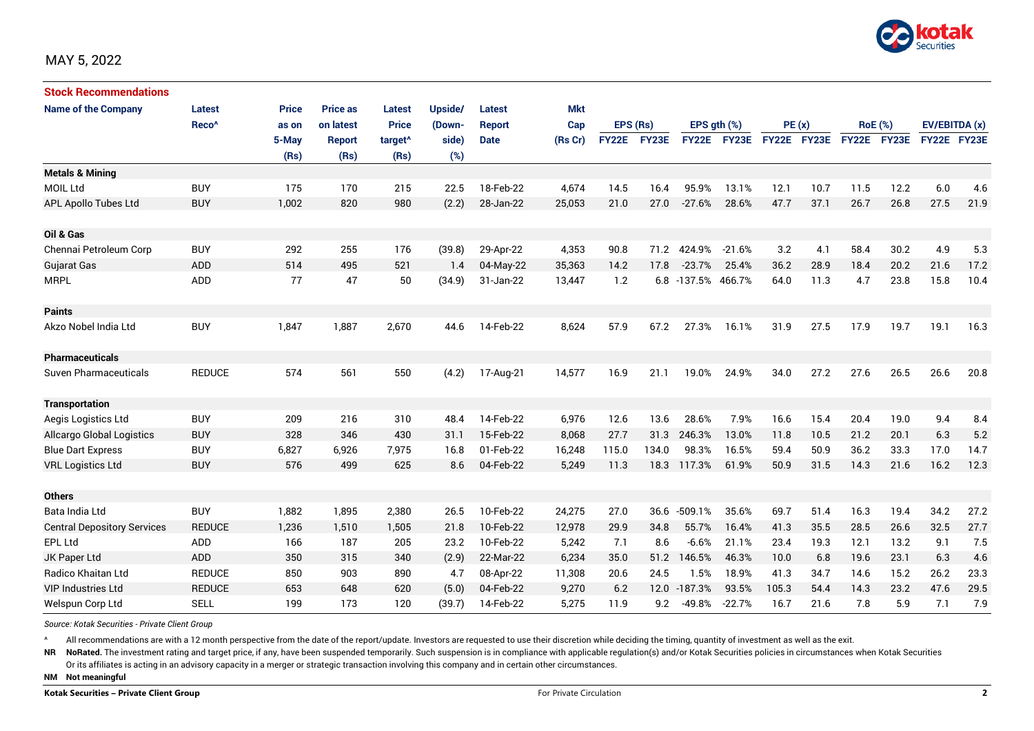

| <b>Stock Recommendations</b>       |                   |       |                 |                     |         |               |            |              |              |              |              |             |      |                |             |               |      |
|------------------------------------|-------------------|-------|-----------------|---------------------|---------|---------------|------------|--------------|--------------|--------------|--------------|-------------|------|----------------|-------------|---------------|------|
| <b>Name of the Company</b>         | Latest            | Price | <b>Price as</b> | <b>Latest</b>       | Upside/ | Latest        | <b>Mkt</b> |              |              |              |              |             |      |                |             |               |      |
|                                    | Reco <sup>^</sup> | as on | on latest       | <b>Price</b>        | (Down-  | <b>Report</b> | Cap        | EPS (Rs)     |              | EPS ath (%)  |              | PE(x)       |      | <b>RoE</b> (%) |             | EV/EBITDA (x) |      |
|                                    |                   | 5-May | <b>Report</b>   | target <sup>^</sup> | side)   | <b>Date</b>   | (Rs Cr)    | <b>FY22E</b> | <b>FY23E</b> | <b>FY22E</b> | <b>FY23E</b> | FY22E FY23E |      |                | FY22E FY23E | FY22E FY23E   |      |
|                                    |                   | (Rs)  | (Rs)            | (Rs)                | (%)     |               |            |              |              |              |              |             |      |                |             |               |      |
| <b>Metals &amp; Mining</b>         |                   |       |                 |                     |         |               |            |              |              |              |              |             |      |                |             |               |      |
| <b>MOIL Ltd</b>                    | <b>BUY</b>        | 175   | 170             | 215                 | 22.5    | 18-Feb-22     | 4,674      | 14.5         | 16.4         | 95.9%        | 13.1%        | 12.1        | 10.7 | 11.5           | 12.2        | 6.0           | 4.6  |
| APL Apollo Tubes Ltd               | <b>BUY</b>        | 1,002 | 820             | 980                 | (2.2)   | 28-Jan-22     | 25,053     | 21.0         | 27.0         | $-27.6%$     | 28.6%        | 47.7        | 37.1 | 26.7           | 26.8        | 27.5          | 21.9 |
| Oil & Gas                          |                   |       |                 |                     |         |               |            |              |              |              |              |             |      |                |             |               |      |
| Chennai Petroleum Corp             | <b>BUY</b>        | 292   | 255             | 176                 | (39.8)  | 29-Apr-22     | 4,353      | 90.8         | 71.2         | 424.9%       | $-21.6%$     | 3.2         | 4.1  | 58.4           | 30.2        | 4.9           | 5.3  |
| <b>Gujarat Gas</b>                 | ADD               | 514   | 495             | 521                 | 1.4     | 04-May-22     | 35,363     | 14.2         | 17.8         | $-23.7%$     | 25.4%        | 36.2        | 28.9 | 18.4           | 20.2        | 21.6          | 17.2 |
| <b>MRPL</b>                        | ADD               | 77    | 47              | 50                  | (34.9)  | 31-Jan-22     | 13,447     | 1.2          | 6.8          | $-137.5%$    | 466.7%       | 64.0        | 11.3 | 4.7            | 23.8        | 15.8          | 10.4 |
| <b>Paints</b>                      |                   |       |                 |                     |         |               |            |              |              |              |              |             |      |                |             |               |      |
| Akzo Nobel India Ltd               | <b>BUY</b>        | 1,847 | 1,887           | 2,670               | 44.6    | 14-Feb-22     | 8,624      | 57.9         | 67.2         | 27.3%        | 16.1%        | 31.9        | 27.5 | 17.9           | 19.7        | 19.1          | 16.3 |
| <b>Pharmaceuticals</b>             |                   |       |                 |                     |         |               |            |              |              |              |              |             |      |                |             |               |      |
| <b>Suven Pharmaceuticals</b>       | <b>REDUCE</b>     | 574   | 561             | 550                 | (4.2)   | 17-Aug-21     | 14,577     | 16.9         | 21.1         | 19.0%        | 24.9%        | 34.0        | 27.2 | 27.6           | 26.5        | 26.6          | 20.8 |
| <b>Transportation</b>              |                   |       |                 |                     |         |               |            |              |              |              |              |             |      |                |             |               |      |
| Aegis Logistics Ltd                | <b>BUY</b>        | 209   | 216             | 310                 | 48.4    | 14-Feb-22     | 6,976      | 12.6         | 13.6         | 28.6%        | 7.9%         | 16.6        | 15.4 | 20.4           | 19.0        | 9.4           | 8.4  |
| <b>Allcargo Global Logistics</b>   | <b>BUY</b>        | 328   | 346             | 430                 | 31.1    | 15-Feb-22     | 8.068      | 27.7         | 31.3         | 246.3%       | 13.0%        | 11.8        | 10.5 | 21.2           | 20.1        | 6.3           | 5.2  |
| <b>Blue Dart Express</b>           | <b>BUY</b>        | 6,827 | 6,926           | 7,975               | 16.8    | 01-Feb-22     | 16,248     | 115.0        | 134.0        | 98.3%        | 16.5%        | 59.4        | 50.9 | 36.2           | 33.3        | 17.0          | 14.7 |
| <b>VRL Logistics Ltd</b>           | <b>BUY</b>        | 576   | 499             | 625                 | 8.6     | 04-Feb-22     | 5,249      | 11.3         | 18.3         | 117.3%       | 61.9%        | 50.9        | 31.5 | 14.3           | 21.6        | 16.2          | 12.3 |
| <b>Others</b>                      |                   |       |                 |                     |         |               |            |              |              |              |              |             |      |                |             |               |      |
| Bata India Ltd                     | <b>BUY</b>        | 1,882 | 1,895           | 2,380               | 26.5    | 10-Feb-22     | 24,275     | 27.0         | 36.6         | $-509.1%$    | 35.6%        | 69.7        | 51.4 | 16.3           | 19.4        | 34.2          | 27.2 |
| <b>Central Depository Services</b> | <b>REDUCE</b>     | 1,236 | 1.510           | 1,505               | 21.8    | 10-Feb-22     | 12.978     | 29.9         | 34.8         | 55.7%        | 16.4%        | 41.3        | 35.5 | 28.5           | 26.6        | 32.5          | 27.7 |
| EPL Ltd                            | ADD               | 166   | 187             | 205                 | 23.2    | 10-Feb-22     | 5,242      | 7.1          | 8.6          | $-6.6%$      | 21.1%        | 23.4        | 19.3 | 12.1           | 13.2        | 9.1           | 7.5  |
| JK Paper Ltd                       | ADD               | 350   | 315             | 340                 | (2.9)   | 22-Mar-22     | 6,234      | 35.0         | 51.2         | 146.5%       | 46.3%        | 10.0        | 6.8  | 19.6           | 23.1        | 6.3           | 4.6  |
| Radico Khaitan Ltd                 | <b>REDUCE</b>     | 850   | 903             | 890                 | 4.7     | 08-Apr-22     | 11,308     | 20.6         | 24.5         | 1.5%         | 18.9%        | 41.3        | 34.7 | 14.6           | 15.2        | 26.2          | 23.3 |
| <b>VIP Industries Ltd</b>          | <b>REDUCE</b>     | 653   | 648             | 620                 | (5.0)   | 04-Feb-22     | 9,270      | 6.2          |              | 12.0 -187.3% | 93.5%        | 105.3       | 54.4 | 14.3           | 23.2        | 47.6          | 29.5 |
| Welspun Corp Ltd                   | <b>SELL</b>       | 199   | 173             | 120                 | (39.7)  | 14-Feb-22     | 5.275      | 11.9         | 9.2          | $-49.8%$     | $-22.7%$     | 16.7        | 21.6 | 7.8            | 5.9         | 7.1           | 7.9  |

*Source: Kotak Securities - Private Client Group*

All recommendations are with a 12 month perspective from the date of the report/update. Investors are requested to use their discretion while deciding the timing, quantity of investment as well as the exit.

NR NoRated. The investment rating and target price, if any, have been suspended temporarily. Such suspension is in compliance with applicable regulation(s) and/or Kotak Securities policies in circumstances when Kotak Secur

Or its affiliates is acting in an advisory capacity in a merger or strategic transaction involving this company and in certain other circumstances.

**NM Not meaningful**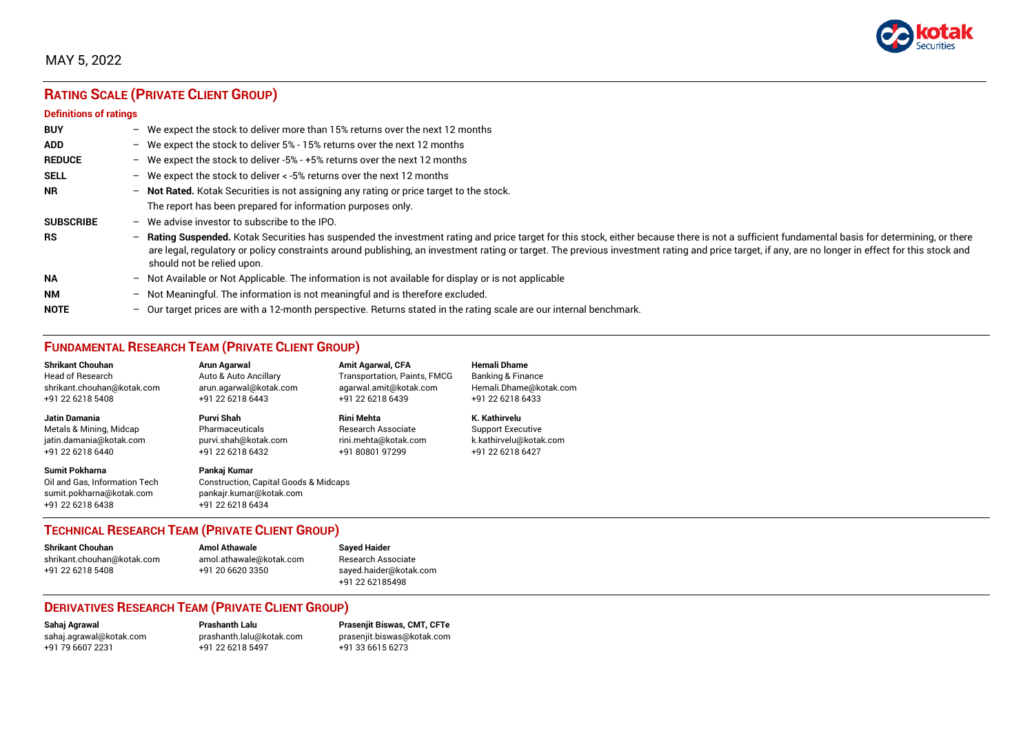

# MAY 5, 2022

# **RATING SCALE (PRIVATE CLIENT GROUP)**

#### **Definitions of ratings**

| <b>BUY</b>       | $-$ | We expect the stock to deliver more than 15% returns over the next 12 months                                                                                                                                                                                                                                                                                                                                                     |
|------------------|-----|----------------------------------------------------------------------------------------------------------------------------------------------------------------------------------------------------------------------------------------------------------------------------------------------------------------------------------------------------------------------------------------------------------------------------------|
| <b>ADD</b>       |     | - We expect the stock to deliver $5\%$ - 15% returns over the next 12 months                                                                                                                                                                                                                                                                                                                                                     |
| <b>REDUCE</b>    |     | - We expect the stock to deliver -5% - +5% returns over the next 12 months                                                                                                                                                                                                                                                                                                                                                       |
| <b>SELL</b>      |     | - We expect the stock to deliver $\lt$ -5% returns over the next 12 months                                                                                                                                                                                                                                                                                                                                                       |
| <b>NR</b>        |     | - Not Rated. Kotak Securities is not assigning any rating or price target to the stock.                                                                                                                                                                                                                                                                                                                                          |
|                  |     | The report has been prepared for information purposes only.                                                                                                                                                                                                                                                                                                                                                                      |
| <b>SUBSCRIBE</b> | $-$ | We advise investor to subscribe to the IPO.                                                                                                                                                                                                                                                                                                                                                                                      |
| <b>RS</b>        | $-$ | Rating Suspended. Kotak Securities has suspended the investment rating and price target for this stock, either because there is not a sufficient fundamental basis for determining, or there<br>are legal, regulatory or policy constraints around publishing, an investment rating or target. The previous investment rating and price target, if any, are no longer in effect for this stock and<br>should not be relied upon. |
| <b>NA</b>        |     | $-$ Not Available or Not Applicable. The information is not available for display or is not applicable                                                                                                                                                                                                                                                                                                                           |
| <b>NM</b>        |     | - Not Meaningful. The information is not meaningful and is therefore excluded.                                                                                                                                                                                                                                                                                                                                                   |
| <b>NOTE</b>      | $-$ | Our target prices are with a 12-month perspective. Returns stated in the rating scale are our internal benchmark.                                                                                                                                                                                                                                                                                                                |

# **FUNDAMENTAL RESEARCH TEAM (PRIVATE CLIENT GROUP)**

| <b>Shrikant Chouhan</b>                                                                                | <b>Arun Agarwal</b>                                                                                             | <b>Amit Agarwal, CFA</b>            | <b>Hemali Dhame</b>      |
|--------------------------------------------------------------------------------------------------------|-----------------------------------------------------------------------------------------------------------------|-------------------------------------|--------------------------|
| <b>Head of Research</b>                                                                                | Auto & Auto Ancillary                                                                                           | <b>Transportation, Paints, FMCG</b> | Banking & Finance        |
| shrikant.chouhan@kotak.com                                                                             | arun.agarwal@kotak.com                                                                                          | agarwal.amit@kotak.com              | Hemali.Dhame@kotak.com   |
| +91 22 6218 5408                                                                                       | +91 22 6218 6443                                                                                                | +91 22 6218 6439                    | +91 22 6218 6433         |
| <b>Jatin Damania</b>                                                                                   | Purvi Shah                                                                                                      | <b>Rini Mehta</b>                   | K. Kathirvelu            |
| Metals & Mining, Midcap                                                                                | Pharmaceuticals                                                                                                 | <b>Research Associate</b>           | <b>Support Executive</b> |
| jatin.damania@kotak.com                                                                                | purvi.shah@kotak.com                                                                                            | rini.mehta@kotak.com                | k.kathirvelu@kotak.com   |
| +91 22 6218 6440                                                                                       | +91 22 6218 6432                                                                                                | +91 80801 97299                     | +91 22 6218 6427         |
| <b>Sumit Pokharna</b><br>Oil and Gas, Information Tech<br>sumit.pokharna@kotak.com<br>+91 22 6218 6438 | Pankaj Kumar<br><b>Construction, Capital Goods &amp; Midcaps</b><br>pankajr.kumar@kotak.com<br>+91 22 6218 6434 |                                     |                          |

### **TECHNICAL RESEARCH TEAM (PRIVATE CLIENT GROUP)**

| <b>Shrikant Chouhan</b>    | <b>Amol Athawale</b>    |  |
|----------------------------|-------------------------|--|
| shrikant.chouhan@kotak.com | amol.athawale@kotak.com |  |
| +91 22 6218 5408           | +91 20 6620 3350        |  |
|                            |                         |  |

**Sayed Haider** Research Associate [sayed.haider@kotak.com](mailto:sayed.haider@kotak.com) +91 22 62185498

### **DERIVATIVES RESEARCH TEAM (PRIVATE CLIENT GROUP)**

+91 22 6218 5497 +91 33 6615 6273

**Sahaj Agrawal Prashanth Lalu Prasenjit Biswas, CMT, CFTe** [sahaj.agrawal@kotak.com](mailto:sahaj.agrawal@kotak.com) [prashanth.lalu@kotak.com](mailto:prashanth.lalu@kotak.com) [prasenjit.biswas@kotak.com](mailto:prasenjit.biswas@kotak.com)